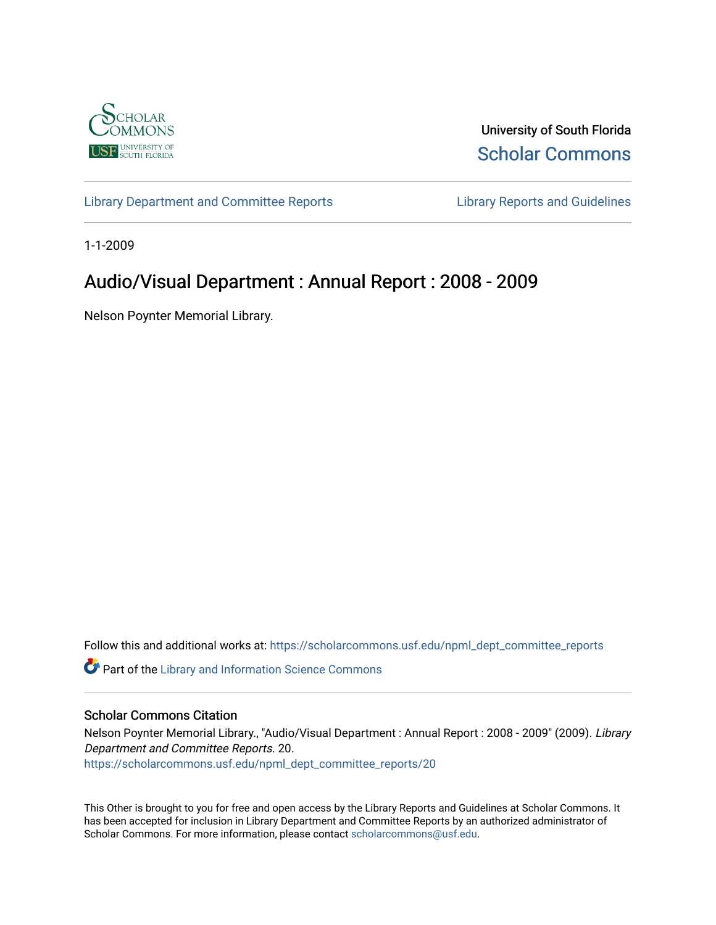

University of South Florida [Scholar Commons](https://scholarcommons.usf.edu/) 

[Library Department and Committee Reports](https://scholarcommons.usf.edu/npml_dept_committee_reports) [Library Reports and Guidelines](https://scholarcommons.usf.edu/npml_reports_guidelines_instruct_materials) 

1-1-2009

# Audio/Visual Department : Annual Report : 2008 - 2009

Nelson Poynter Memorial Library.

Follow this and additional works at: [https://scholarcommons.usf.edu/npml\\_dept\\_committee\\_reports](https://scholarcommons.usf.edu/npml_dept_committee_reports?utm_source=scholarcommons.usf.edu%2Fnpml_dept_committee_reports%2F20&utm_medium=PDF&utm_campaign=PDFCoverPages)

Part of the [Library and Information Science Commons](http://network.bepress.com/hgg/discipline/1018?utm_source=scholarcommons.usf.edu%2Fnpml_dept_committee_reports%2F20&utm_medium=PDF&utm_campaign=PDFCoverPages) 

#### Scholar Commons Citation

Nelson Poynter Memorial Library., "Audio/Visual Department : Annual Report : 2008 - 2009" (2009). Library Department and Committee Reports. 20. [https://scholarcommons.usf.edu/npml\\_dept\\_committee\\_reports/20](https://scholarcommons.usf.edu/npml_dept_committee_reports/20?utm_source=scholarcommons.usf.edu%2Fnpml_dept_committee_reports%2F20&utm_medium=PDF&utm_campaign=PDFCoverPages) 

This Other is brought to you for free and open access by the Library Reports and Guidelines at Scholar Commons. It has been accepted for inclusion in Library Department and Committee Reports by an authorized administrator of Scholar Commons. For more information, please contact [scholarcommons@usf.edu](mailto:scholarcommons@usf.edu).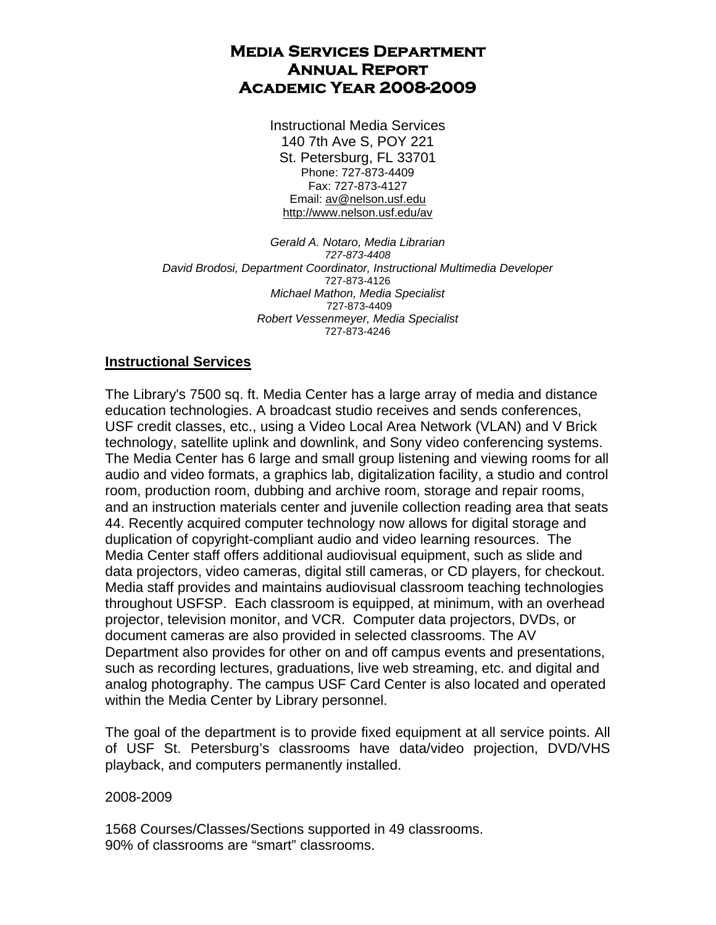# **Media Services Department Annual Report Academic Year 2008-2009**

Instructional Media Services 140 7th Ave S, POY 221 St. Petersburg, FL 33701 Phone: 727-873-4409 Fax: 727-873-4127 Email: av@nelson.usf.edu http://www.nelson.usf.edu/av

*Gerald A. Notaro, Media Librarian 727-873-4408 David Brodosi, Department Coordinator, Instructional Multimedia Developer*  727-873-4126 *Michael Mathon, Media Specialist*  727-873-4409 *Robert Vessenmeyer, Media Specialist*  727-873-4246

# **Instructional Services**

The Library's 7500 sq. ft. Media Center has a large array of media and distance education technologies. A broadcast studio receives and sends conferences, USF credit classes, etc., using a Video Local Area Network (VLAN) and V Brick technology, satellite uplink and downlink, and Sony video conferencing systems. The Media Center has 6 large and small group listening and viewing rooms for all audio and video formats, a graphics lab, digitalization facility, a studio and control room, production room, dubbing and archive room, storage and repair rooms, and an instruction materials center and juvenile collection reading area that seats 44. Recently acquired computer technology now allows for digital storage and duplication of copyright-compliant audio and video learning resources. The Media Center staff offers additional audiovisual equipment, such as slide and data projectors, video cameras, digital still cameras, or CD players, for checkout. Media staff provides and maintains audiovisual classroom teaching technologies throughout USFSP. Each classroom is equipped, at minimum, with an overhead projector, television monitor, and VCR. Computer data projectors, DVDs, or document cameras are also provided in selected classrooms. The AV Department also provides for other on and off campus events and presentations, such as recording lectures, graduations, live web streaming, etc. and digital and analog photography. The campus USF Card Center is also located and operated within the Media Center by Library personnel.

The goal of the department is to provide fixed equipment at all service points. All of USF St. Petersburg's classrooms have data/video projection, DVD/VHS playback, and computers permanently installed.

# 2008-2009

1568 Courses/Classes/Sections supported in 49 classrooms. 90% of classrooms are "smart" classrooms.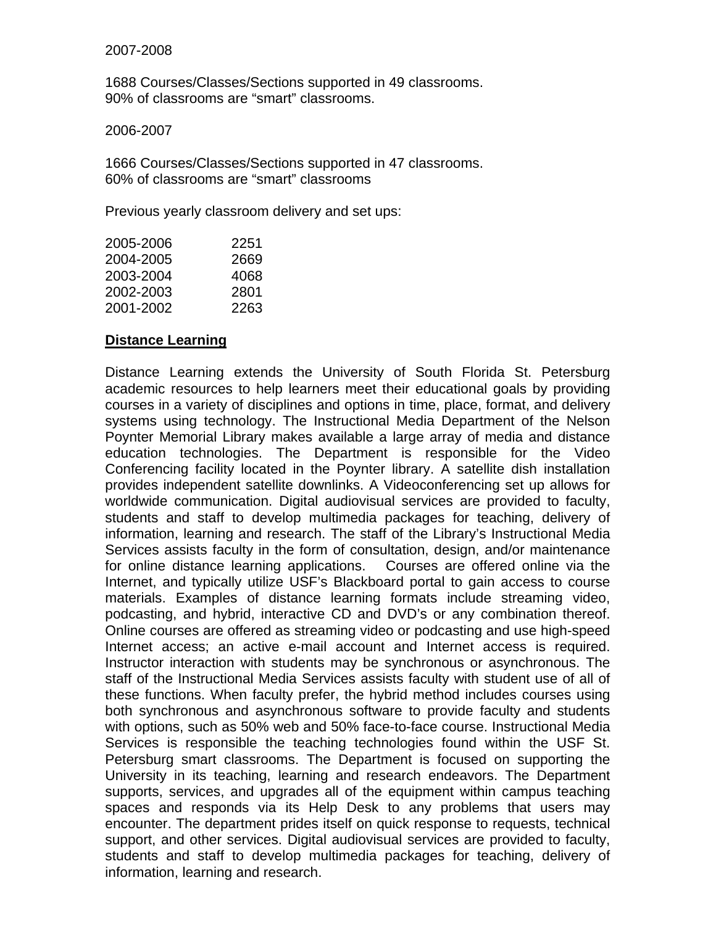### 2007-2008

1688 Courses/Classes/Sections supported in 49 classrooms. 90% of classrooms are "smart" classrooms.

### 2006-2007

1666 Courses/Classes/Sections supported in 47 classrooms. 60% of classrooms are "smart" classrooms

Previous yearly classroom delivery and set ups:

| 2251 |
|------|
| 2669 |
| 4068 |
| 2801 |
| 2263 |
|      |

# **Distance Learning**

Distance Learning extends the University of South Florida St. Petersburg academic resources to help learners meet their educational goals by providing courses in a variety of disciplines and options in time, place, format, and delivery systems using technology. The Instructional Media Department of the Nelson Poynter Memorial Library makes available a large array of media and distance education technologies. The Department is responsible for the Video Conferencing facility located in the Poynter library. A satellite dish installation provides independent satellite downlinks. A Videoconferencing set up allows for worldwide communication. Digital audiovisual services are provided to faculty, students and staff to develop multimedia packages for teaching, delivery of information, learning and research. The staff of the Library's Instructional Media Services assists faculty in the form of consultation, design, and/or maintenance for online distance learning applications. Courses are offered online via the Internet, and typically utilize USF's Blackboard portal to gain access to course materials. Examples of distance learning formats include streaming video, podcasting, and hybrid, interactive CD and DVD's or any combination thereof. Online courses are offered as streaming video or podcasting and use high-speed Internet access; an active e-mail account and Internet access is required. Instructor interaction with students may be synchronous or asynchronous. The staff of the Instructional Media Services assists faculty with student use of all of these functions. When faculty prefer, the hybrid method includes courses using both synchronous and asynchronous software to provide faculty and students with options, such as 50% web and 50% face-to-face course. Instructional Media Services is responsible the teaching technologies found within the USF St. Petersburg smart classrooms. The Department is focused on supporting the University in its teaching, learning and research endeavors. The Department supports, services, and upgrades all of the equipment within campus teaching spaces and responds via its Help Desk to any problems that users may encounter. The department prides itself on quick response to requests, technical support, and other services. Digital audiovisual services are provided to faculty, students and staff to develop multimedia packages for teaching, delivery of information, learning and research.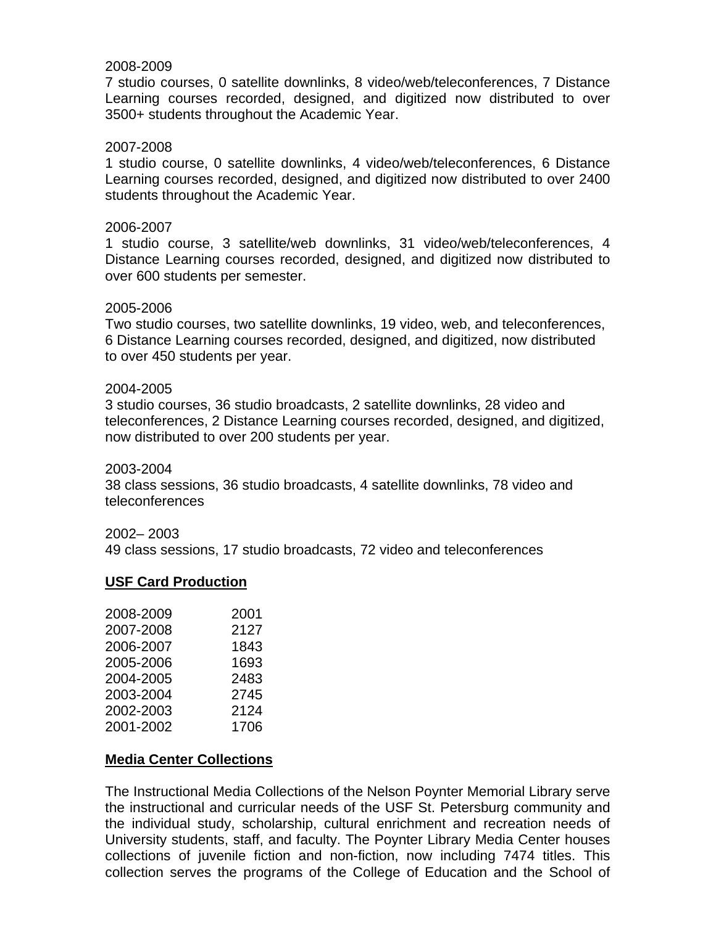### 2008-2009

7 studio courses, 0 satellite downlinks, 8 video/web/teleconferences, 7 Distance Learning courses recorded, designed, and digitized now distributed to over 3500+ students throughout the Academic Year.

#### 2007-2008

1 studio course, 0 satellite downlinks, 4 video/web/teleconferences, 6 Distance Learning courses recorded, designed, and digitized now distributed to over 2400 students throughout the Academic Year.

#### 2006-2007

1 studio course, 3 satellite/web downlinks, 31 video/web/teleconferences, 4 Distance Learning courses recorded, designed, and digitized now distributed to over 600 students per semester.

#### 2005-2006

Two studio courses, two satellite downlinks, 19 video, web, and teleconferences, 6 Distance Learning courses recorded, designed, and digitized, now distributed to over 450 students per year.

#### 2004-2005

3 studio courses, 36 studio broadcasts, 2 satellite downlinks, 28 video and teleconferences, 2 Distance Learning courses recorded, designed, and digitized, now distributed to over 200 students per year.

#### 2003-2004

38 class sessions, 36 studio broadcasts, 4 satellite downlinks, 78 video and teleconferences

#### 2002– 2003

49 class sessions, 17 studio broadcasts, 72 video and teleconferences

### **USF Card Production**

| 2008-2009 | 2001 |
|-----------|------|
| 2007-2008 | 2127 |
| 2006-2007 | 1843 |
| 2005-2006 | 1693 |
| 2004-2005 | 2483 |
| 2003-2004 | 2745 |
| 2002-2003 | 2124 |
| 2001-2002 | 1706 |

### **Media Center Collections**

The Instructional Media Collections of the Nelson Poynter Memorial Library serve the instructional and curricular needs of the USF St. Petersburg community and the individual study, scholarship, cultural enrichment and recreation needs of University students, staff, and faculty. The Poynter Library Media Center houses collections of juvenile fiction and non-fiction, now including 7474 titles. This collection serves the programs of the College of Education and the School of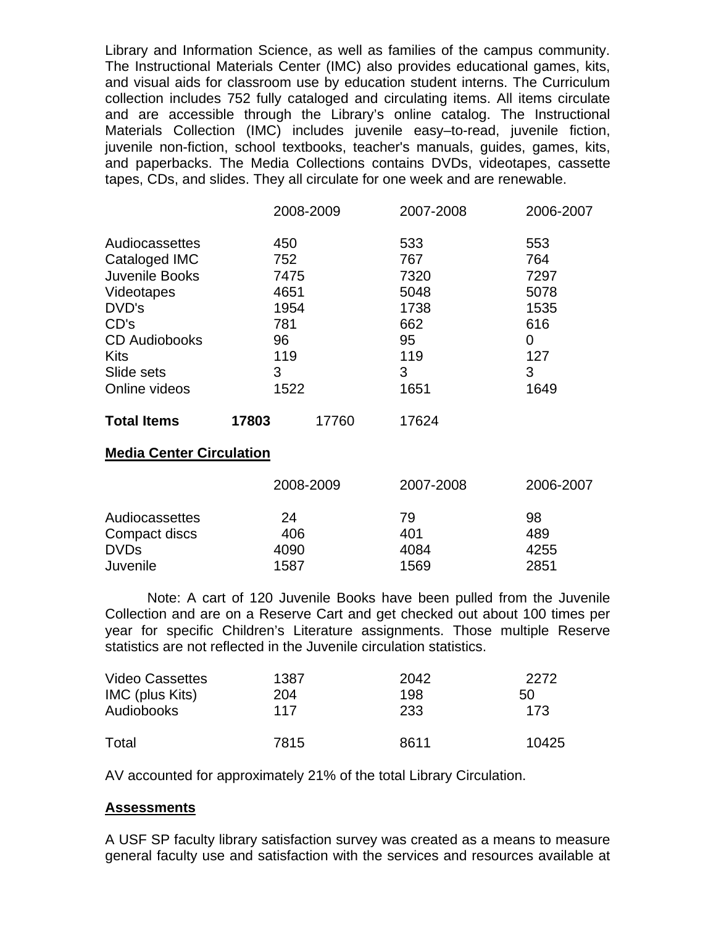Library and Information Science, as well as families of the campus community. The Instructional Materials Center (IMC) also provides educational games, kits, and visual aids for classroom use by education student interns. The Curriculum collection includes 752 fully cataloged and circulating items. All items circulate and are accessible through the Library's online catalog. The Instructional Materials Collection (IMC) includes juvenile easy–to-read, juvenile fiction, juvenile non-fiction, school textbooks, teacher's manuals, guides, games, kits, and paperbacks. The Media Collections contains DVDs, videotapes, cassette tapes, CDs, and slides. They all circulate for one week and are renewable.

|                                                                           |                                       | 2008-2009 | 2007-2008 | 2006-2007 |
|---------------------------------------------------------------------------|---------------------------------------|-----------|-----------|-----------|
| Audiocassettes                                                            | 450                                   |           | 533       | 553       |
| Cataloged IMC                                                             | 752                                   |           | 767       | 764       |
| Juvenile Books                                                            | 7475                                  |           | 7320      | 7297      |
| Videotapes<br>DVD's<br>CD's<br><b>CD</b> Audiobooks<br>Kits<br>Slide sets | 4651<br>1954<br>781<br>96<br>119<br>3 |           | 5048      | 5078      |
|                                                                           |                                       |           | 1738      | 1535      |
|                                                                           |                                       |           | 662       | 616       |
|                                                                           |                                       |           | 95        | 0         |
|                                                                           |                                       |           | 119       | 127       |
|                                                                           |                                       |           | 3         | 3         |
| Online videos                                                             | 1522                                  |           | 1651      | 1649      |
| <b>Total Items</b>                                                        | 17803                                 | 17760     | 17624     |           |

### **Media Center Circulation**

|                | 2008-2009 | 2007-2008 | 2006-2007 |
|----------------|-----------|-----------|-----------|
| Audiocassettes | 24        | 79        | 98        |
| Compact discs  | 406       | 401       | 489       |
| <b>DVDs</b>    | 4090      | 4084      | 4255      |
| Juvenile       | 1587      | 1569      | 2851      |

 Note: A cart of 120 Juvenile Books have been pulled from the Juvenile Collection and are on a Reserve Cart and get checked out about 100 times per year for specific Children's Literature assignments. Those multiple Reserve statistics are not reflected in the Juvenile circulation statistics.

| <b>Video Cassettes</b> | 1387 | 2042 | 2272  |
|------------------------|------|------|-------|
| IMC (plus Kits)        | 204  | 198  | 50    |
| Audiobooks             | 117  | 233  | 173   |
| Total                  | 7815 | 8611 | 10425 |

AV accounted for approximately 21% of the total Library Circulation.

# **Assessments**

A USF SP faculty library satisfaction survey was created as a means to measure general faculty use and satisfaction with the services and resources available at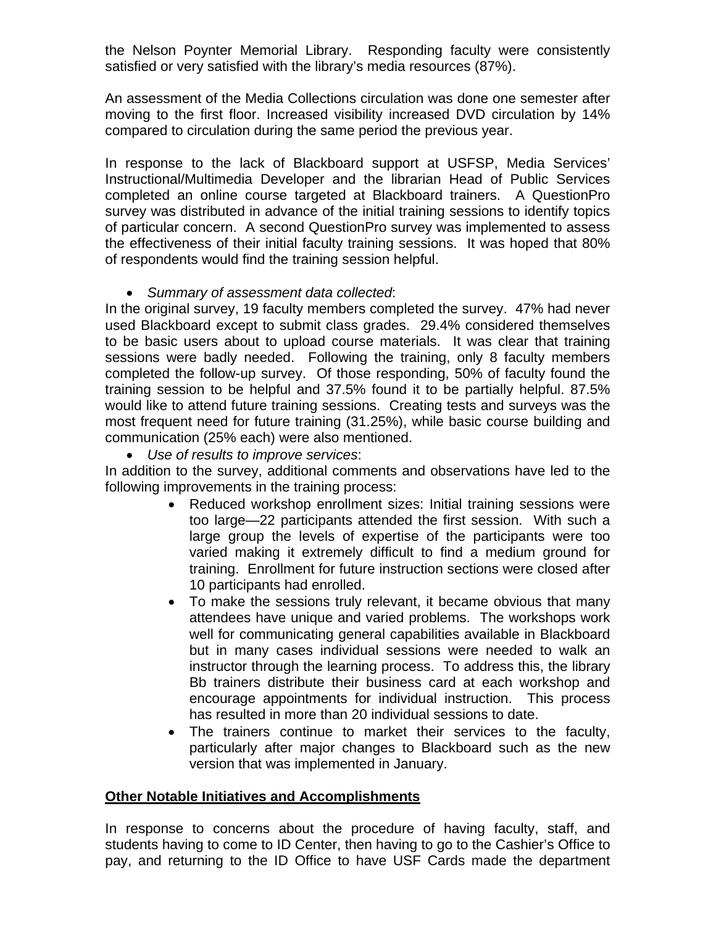the Nelson Poynter Memorial Library. Responding faculty were consistently satisfied or very satisfied with the library's media resources (87%).

An assessment of the Media Collections circulation was done one semester after moving to the first floor. Increased visibility increased DVD circulation by 14% compared to circulation during the same period the previous year.

In response to the lack of Blackboard support at USFSP, Media Services' Instructional/Multimedia Developer and the librarian Head of Public Services completed an online course targeted at Blackboard trainers. A QuestionPro survey was distributed in advance of the initial training sessions to identify topics of particular concern. A second QuestionPro survey was implemented to assess the effectiveness of their initial faculty training sessions. It was hoped that 80% of respondents would find the training session helpful.

# *Summary of assessment data collected*:

In the original survey, 19 faculty members completed the survey. 47% had never used Blackboard except to submit class grades. 29.4% considered themselves to be basic users about to upload course materials. It was clear that training sessions were badly needed. Following the training, only 8 faculty members completed the follow-up survey. Of those responding, 50% of faculty found the training session to be helpful and 37.5% found it to be partially helpful. 87.5% would like to attend future training sessions. Creating tests and surveys was the most frequent need for future training (31.25%), while basic course building and communication (25% each) were also mentioned.

*Use of results to improve services*:

In addition to the survey, additional comments and observations have led to the following improvements in the training process:

- Reduced workshop enrollment sizes: Initial training sessions were too large—22 participants attended the first session. With such a large group the levels of expertise of the participants were too varied making it extremely difficult to find a medium ground for training. Enrollment for future instruction sections were closed after 10 participants had enrolled.
- To make the sessions truly relevant, it became obvious that many attendees have unique and varied problems. The workshops work well for communicating general capabilities available in Blackboard but in many cases individual sessions were needed to walk an instructor through the learning process. To address this, the library Bb trainers distribute their business card at each workshop and encourage appointments for individual instruction. This process has resulted in more than 20 individual sessions to date.
- The trainers continue to market their services to the faculty, particularly after major changes to Blackboard such as the new version that was implemented in January.

# **Other Notable Initiatives and Accomplishments**

In response to concerns about the procedure of having faculty, staff, and students having to come to ID Center, then having to go to the Cashier's Office to pay, and returning to the ID Office to have USF Cards made the department